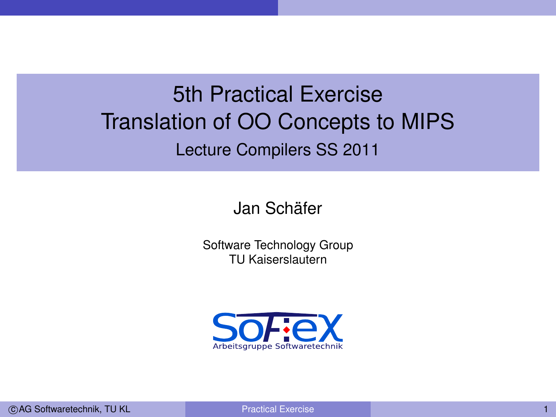## 5th Practical Exercise Translation of OO Concepts to MIPS Lecture Compilers SS 2011

Jan Schäfer

Software Technology Group TU Kaiserslautern

<span id="page-0-0"></span>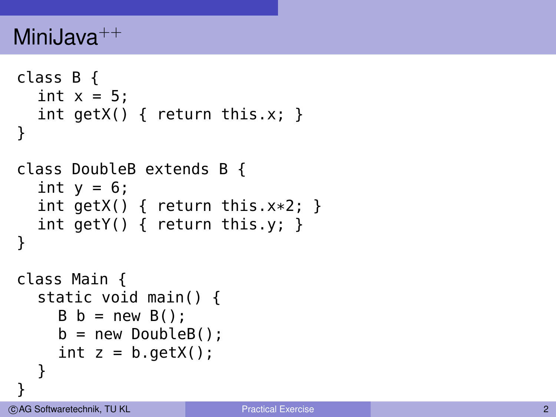```
class B {
  int x = 5:
  int getX() \{ return this.x; \}}
class DoubleB extends B
{
  int y = 6;
  int getX() { return this.x
*2;
}
  int getY() { return this.y; }
}
class Main {
  static void main() { B b = new B();
    b = new DoubleB();
    int z = b.getX();
  }
}
```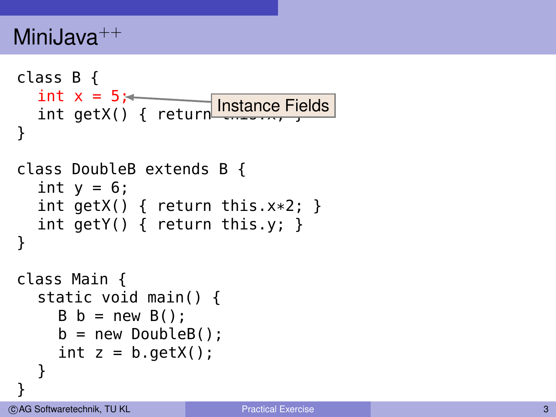```
class B {
  int x = 5;int getX() { return Instance Fields
}
class DoubleB extends B
{
  int y = 6;
  int getX() { return this.x
*2;
}
  int getY() { return this.y; }
}
class Main {
  static void main() { B b = new B();
    b = new DoubleB();
    int z = b.getX();
  }
}
```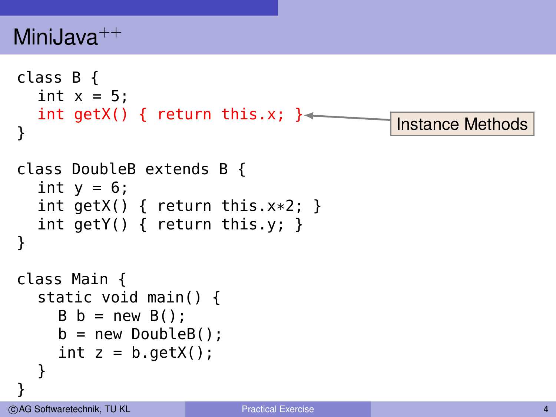```
class B {
  int x = 5:
  int getX() { return this.x; }
}
class DoubleB extends B {
  int y = 6;
  int getX() { return this.x*2; }
  int getY() { return this.y; }
}
class Main {
  static void main() {
    B b = new B();
    b = new DoubleB();
    int z = b.getX();
  }
}
                                            Instance Methods
```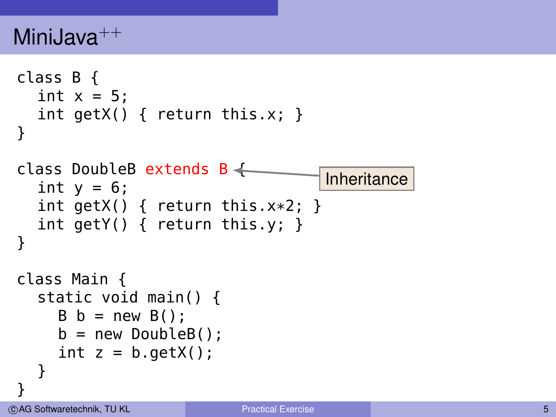```
class B {
  int x = 5:
  int getX() \{ return this.x; \}}
class DoubleB extends B \leftarrowint y = 6;
  int getX() { return this.x*2; }
  int getY() { return this.y; }
}
class Main {
  static void main() {
    B b = new B();
    b = new DoubleB();
    int z = b.getX();
  }
}
                                     Inheritance
```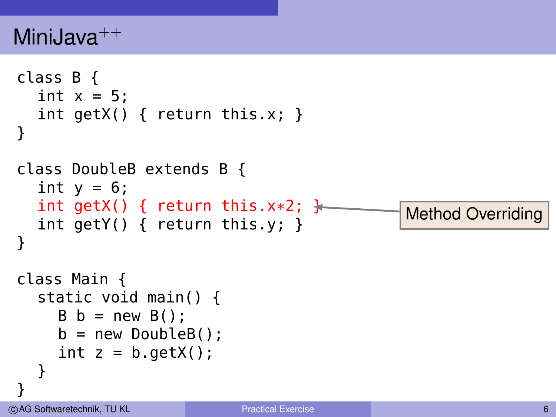```
class B {
  int x = 5:
  int getX() \{ return this.x; \}}
class DoubleB extends B {
  int y = 6;
  int getX() { return this.x*2; \frac{1}{2}int getY() { return this.y; }
}
class Main {
  static void main() {
    B b = new B();
    b = new DoubleB();
    int z = b.getX();
  }
}
                                              Method Overriding
```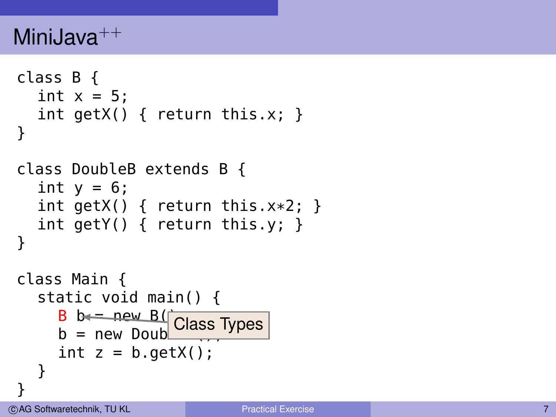```
class B {
  int x = 5:
  int getX() \{ return this.x; \}}
class DoubleB extends B
{
  int y = 6;
  int getX() { return this.x
*2;
}
  int getY() { return this.y; }
}
class Main {
  static void main() { B b = new B()b = new Double \frac{Class Types}{C}int z = b.getX();
  }
}
```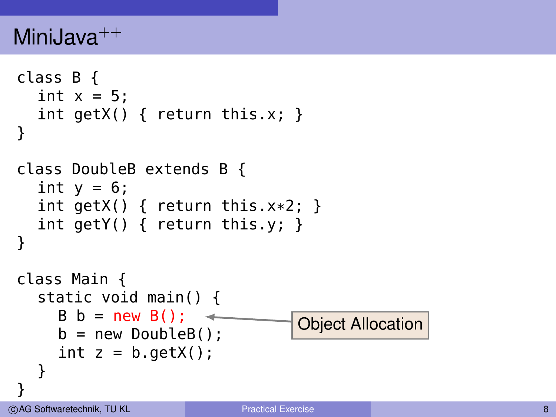```
class B {
  int x = 5:
  int getX() \{ return this.x; \}}
class DoubleB extends B {
  int y = 6;
  int getX() { return this.x*2; }
  int getY() { return this.y; }
}
class Main {
  static void main() {
    B b = new B(); \rightarrowb = new DoubleB();
    int z = b.getX();
  }
}
                                 Object Allocation
```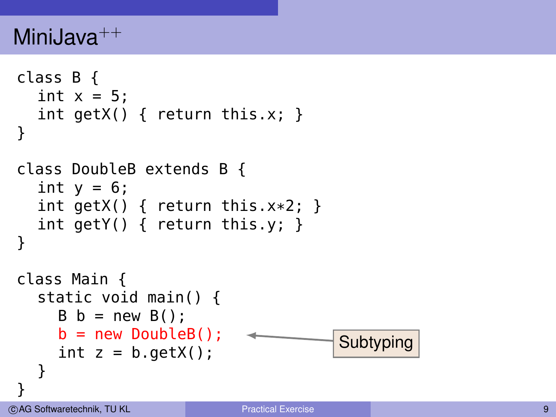```
class B {
  int x = 5:
  int getX() \{ return this.x; \}}
class DoubleB extends B {
  int y = 6;
  int getX() { return this.x*2; }
  int getY() { return this.y; }
}
class Main {
  static void main() {
    B b = new B();
    b = new DoubleB();
    int z = b.getX();
  }
}
                                     Subtyping
```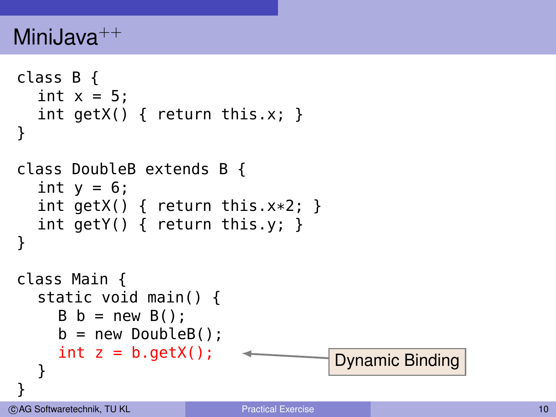```
class B {
  int x = 5:
  int getX() \{ return this.x; \}}
class DoubleB extends B {
  int y = 6;
  int getX() { return this.x*2; }
  int getY() { return this.y; }
}
class Main {
  static void main() {
    B b = new B();
    b = new DoubleB();
    int z = b.getX();
  }
}
                                    Dynamic Binding
```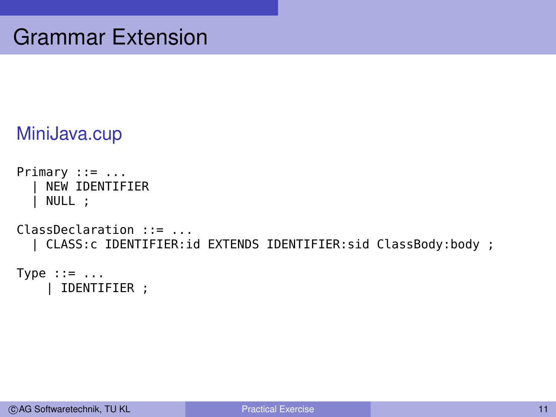```
MiniJava.cup
```

```
Primary := \ldots| NEW IDENTIFIER
    NULL ;
ClassDeclaration ::= ...
  | CLASS:c IDENTIFIER:id EXTENDS IDENTIFIER:sid ClassBody:body ;
Type ::= ...
```

```
| IDENTIFIER ;
```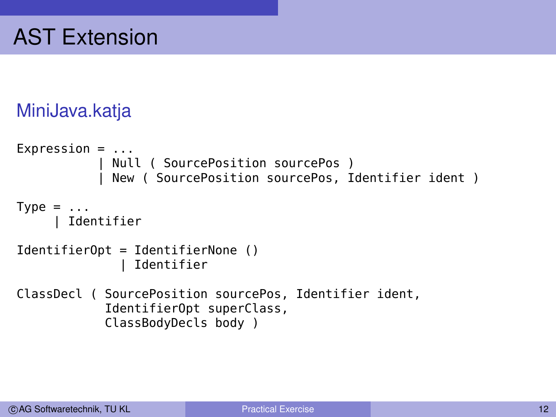#### MiniJava.katja

```
Expression = ...
            Null ( SourcePosition sourcePos )
            New ( SourcePosition sourcePos, Identifier ident )
Type = \dotsIdentifier
IdentifierOpt = IdentifierNone ()
                Identifier
ClassDecl ( SourcePosition sourcePos, Identifier ident,
            IdentifierOpt superClass,
            ClassBodyDecls body )
```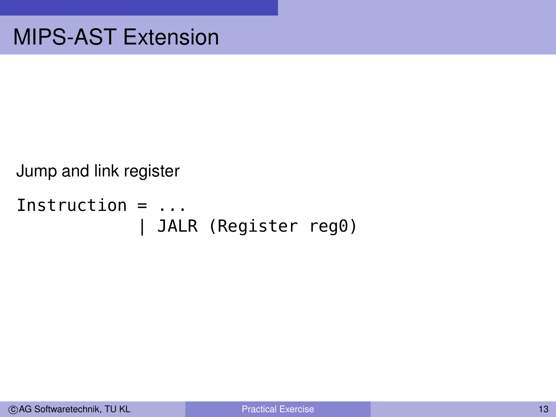Jump and link register

```
Instruction = ...
            | JALR (Register reg0)
```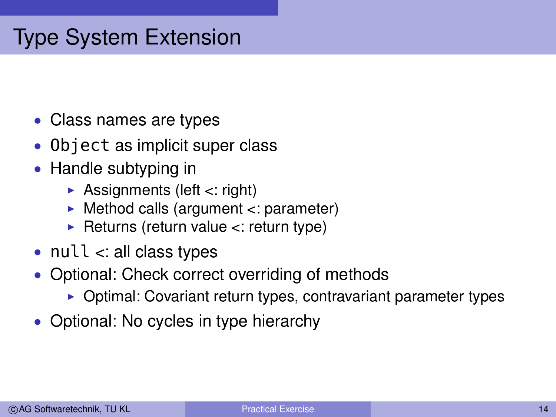## Type System Extension

- Class names are types
- Object as implicit super class
- Handle subtyping in
	- $\triangleright$  Assignments (left <: right)
	- Method calls (argument <: parameter)
	- $\blacktriangleright$  Returns (return value <: return type)
- null  $\lt$ : all class types
- Optional: Check correct overriding of methods
	- $\triangleright$  Optimal: Covariant return types, contravariant parameter types
- Optional: No cycles in type hierarchy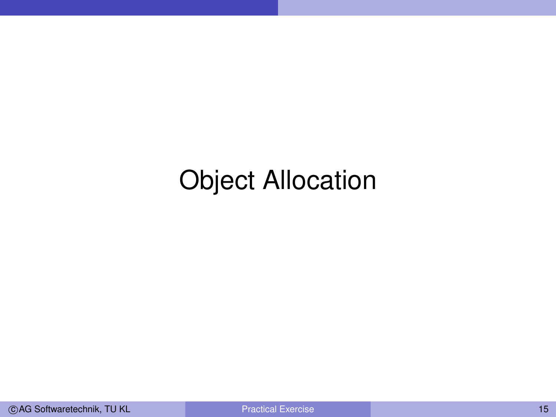# Object Allocation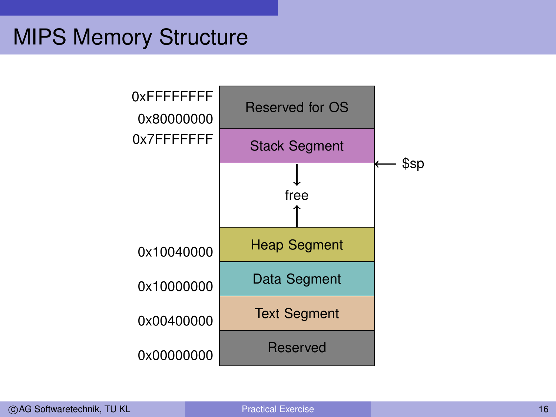### MIPS Memory Structure

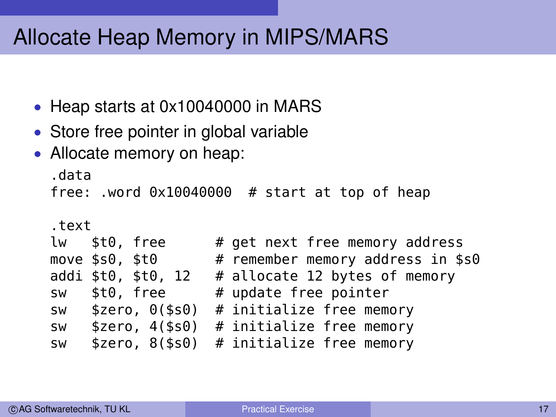## Allocate Heap Memory in MIPS/MARS

- Heap starts at 0x10040000 in MARS
- Store free pointer in global variable
- Allocate memory on heap:

```
.data
free: .word 0x10040000 # start at top of heap
.text
lw $t0, free # get next free memory address
move $s0, $t0 # remember memory address in $s0
addi $t0, $t0, 12 # allocate 12 bytes of memory
sw $t0, free # update free pointer
sw $zero, 0($s0) # initialize free memory
sw $zero, 4($s0) # initialize free memory
sw $zero, 8($s0) # initialize free memory
```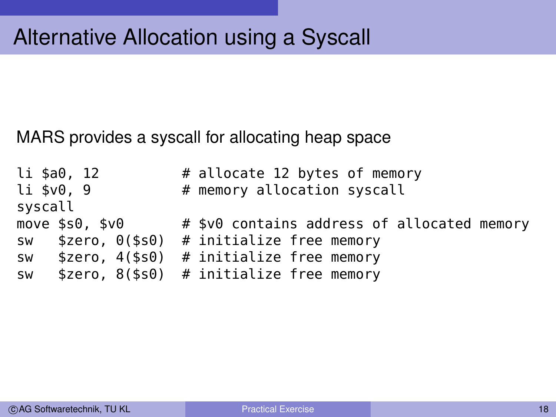## Alternative Allocation using a Syscall

MARS provides a syscall for allocating heap space

|            | li \$a0, 12                      |  | # allocate 12 bytes of memory                |
|------------|----------------------------------|--|----------------------------------------------|
| li \$v0, 9 |                                  |  | # memory allocation syscall                  |
| syscall    |                                  |  |                                              |
|            | move \$s0, \$v0                  |  | # \$v0 contains address of allocated memory  |
|            | sw \$zero, 0(\$s0)               |  | # initialize free memory                     |
|            | $sw$ \$zero, $4$ (\$s $\theta$ ) |  | # initialize free memory                     |
|            |                                  |  | sw $$zero, 8 ($s0)$ # initialize free memory |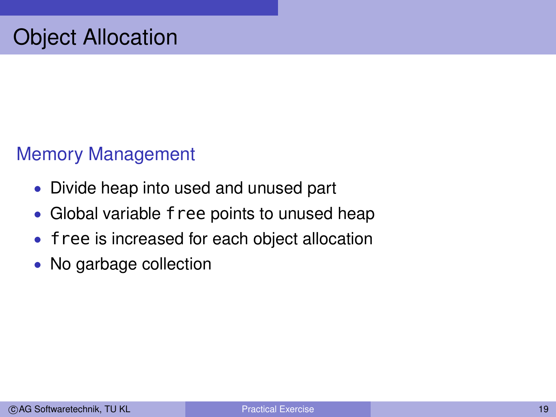#### Memory Management

- Divide heap into used and unused part
- Global variable free points to unused heap
- free is increased for each object allocation
- No garbage collection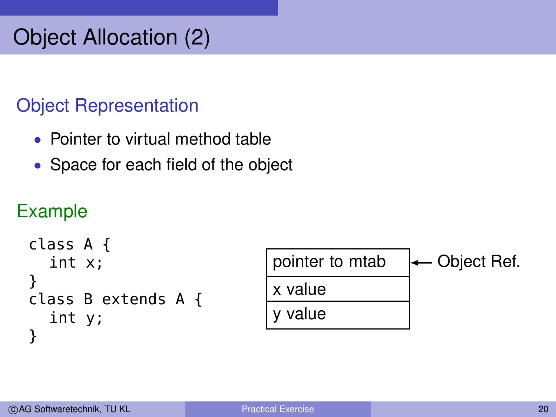## Object Allocation (2)

### Object Representation

- Pointer to virtual method table
- Space for each field of the object

### Example

```
class A {
  int x;
}
class B extends A {
  int y;
}
```
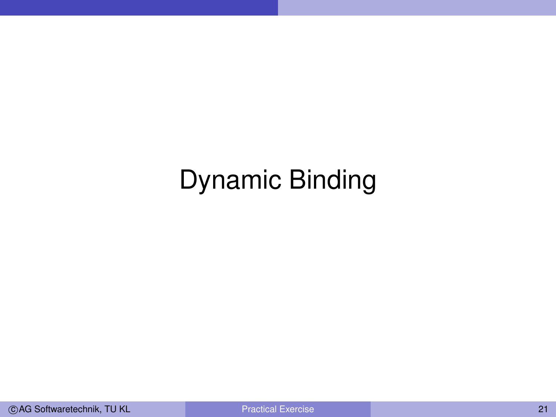# Dynamic Binding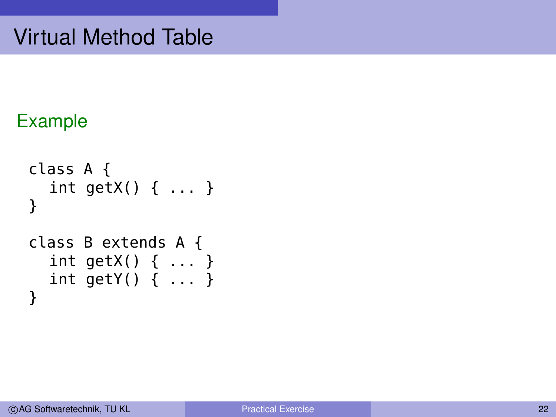### Example

```
class A {
  int getX() { ... }
}
class B extends A {
  int getX() { ... }
  int getY() { ... }
}
```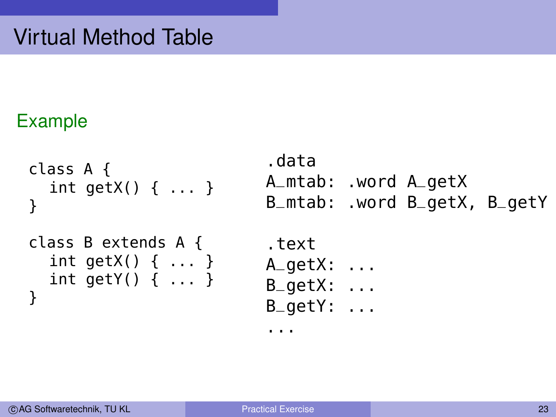### Example

}

```
class A {
  int getX() { ... }
}
class B extends A {
  int getX() { ... }
  int getY() { ... }
```
.data A\_mtab: .word A\_getX B\_mtab: .word B\_getX, B\_getY .text

```
A_getX: ...
B_getX: ...
```
B\_getY: ...

...